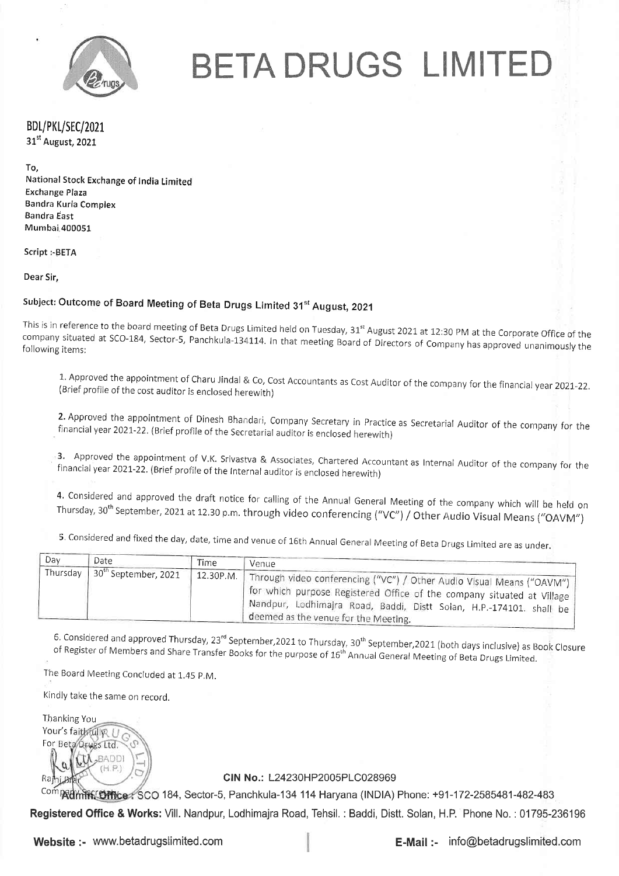

BETA DRUGS LIMITED

BDL/PKL/SEC/2021 31<sup>st</sup> August, 2021

To,

National Stock Exchange of India Limited Exchange Plaza Bandra Kurla Complex Bandra East Mumbai 400051

Script :- BETA

Dear Sir,

# Subject: Outcome of Board Meeting of Beta Drugs Limited 31<sup>st</sup> August, 2021

This is in reference to the board meeting of Beta Drugs Limited held on Tuesday, 31<sup>st</sup> August 2021 at 12:30 PM at the Corporate Office of the company situated at SCO-184, Sector-5, Panchkula-134114. In that meeting Board of Directors of Company has approved unanimously the following items:

1. Approved the appointment of Charu Jindal & Co, Cost Accountants as Cost Auditor of the company for the financial year 2021-22. (Brief profile of the cost auditor is enclosed herewith)

**2.** Approved the appointment of Dinesh Bhandari, Company Secretary in Practice as Secretarial Auditor of the company for the<br>financial year 2021-22. (Brief profile of the Secretarial auditor is enclosed herewith) financial year 2021-22. (Brief profile of the Secretarial auditor is enclosed herewith)

financial year 2021-22. (Brief profile of the Internal auditor is enclosed herewith) 3. Approved the appointment of V.K. Srivastva & Associates, Chartered Accountant as Internal Auditor of the company for the

4. Considered and approved the draft notice for calling of the Annual General Meeting of the company which will be held on<br>Thursday, 30<sup>th</sup> September, 2021 at 12.30 p.m. through video conferencing ("VC") / Other Audio Visu

5. Considered and fixed the day, date, time and venue of 16th Annual General Meeting of Beta Drugs Limited are as under.

| Dav | Date                          | <b>Time</b> | Venue                                                                                                                                                                                                                                                                         |
|-----|-------------------------------|-------------|-------------------------------------------------------------------------------------------------------------------------------------------------------------------------------------------------------------------------------------------------------------------------------|
|     | Thursday 30th September, 2021 |             | 12.30P.M.   Through video conferencing ("VC") / Other Audio Visual Means ("OAVM")<br>I for which purpose Registered Office of the company situated at Village<br>(Nandpur, Lodhimajra Road, Baddi, Distt Solan, H.P.-174101. shall be<br>deemed as the venue for the Meeting. |

6. Considered and approved Thursday, 23<sup>rd</sup> September,2021 to Thursday, 30<sup>th</sup> September,2021 (both days inclusive) as Book Closure<br>of Register of Members and Share Transfer Books for the purpose of 16<sup>th</sup> Annual General M

The Board Meeting Concluded at 1.45 P.M.

Kindly take the same on record.

Ihanking You Your's faithfully? For Beta Drugs Ltd. **RADDI** Ra

CIN No.: L24230HP2005PLC028969

<sup>Comp</sup>Rdmin: Office. SCO 184, Sector-5, Panchkula-134 114 Haryana (INDIA) Phone: +91-172-2585481-482-483

**Registered Office & Works:** Vill. Nandpur, Lodhimajra Road, Tehsil. : Baddi, Distt. Solan, H.P. Phone No. : 01795-236196

Website:- www.betadrugslimited.com

**E-Mail :- info@betadrugslimited.com**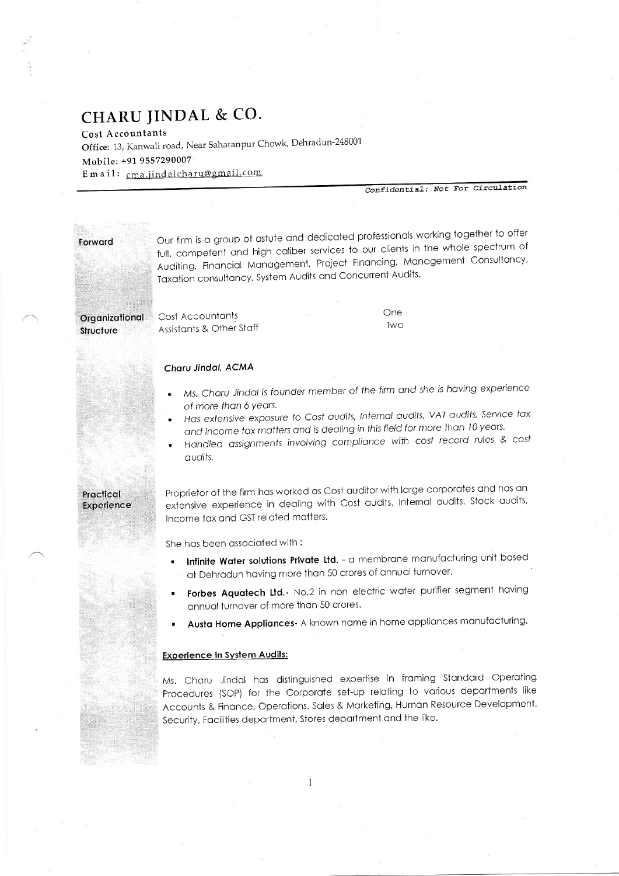# CHARU JINDAL & CO.

Cost Accountants

Office: 13, Kanwali road, Near Saharanpur Chowk, Dehradun-248001 Mobile: +91 9557290007 Email: cma.jindalcharu@gmail.com

Confidential: Not For Circulation

Forward

Our firm is a group of astute and dedicated professionals working together to offer full, competent and high caliber services to our clients in the whole spectrum of Auditing, Financial Management, Project Financing, Management Consultancy, Taxation consultancy, System Audits and Concurrent Audits.

| Drganizational a | Cost Accountants         | One |
|------------------|--------------------------|-----|
|                  |                          | Two |
| <b>Structure</b> | Assistants & Other Staff |     |

#### Charu Jindal, ACMA

- Ms. Charu Jindal is founder member of the firm and she is having experience of more than 6 years.
- Has extensive exposure to Cost audits, Internal audits, VAT audits, Service tax and Income tax matters and is dealing in this field for more than 10 years.
- Handled assignments involving compliance with cost record rules & cost audits.

#### Practical Experience

Proprietor of the firm has worked as Cost auditor with large corporates and has an extensive experience in dealing with Cost audits, Internal audits, Stock audits, Income tax and GST related matters.

She has been associated with:

- Infinite Water solutions Private Ltd. a membrane manufacturing unit based at Dehradun having more than 50 crores of annual turnover.
- Forbes Aquatech Ltd.- No.2 in non electric water purifier segment having annual turnover of more than 50 crores.
- Austa Home Appliances A known name in home appliances manufacturing.

#### **Experience in System Audits:**

Ms. Charu Jindal has distinguished expertise in framing Standard Operating Procedures (SOP) for the Corporate set-up relating to various departments like Accounts & Finance, Operations, Sales & Marketing, Human Resource Development, Security, Facilities department, Stores department and the like.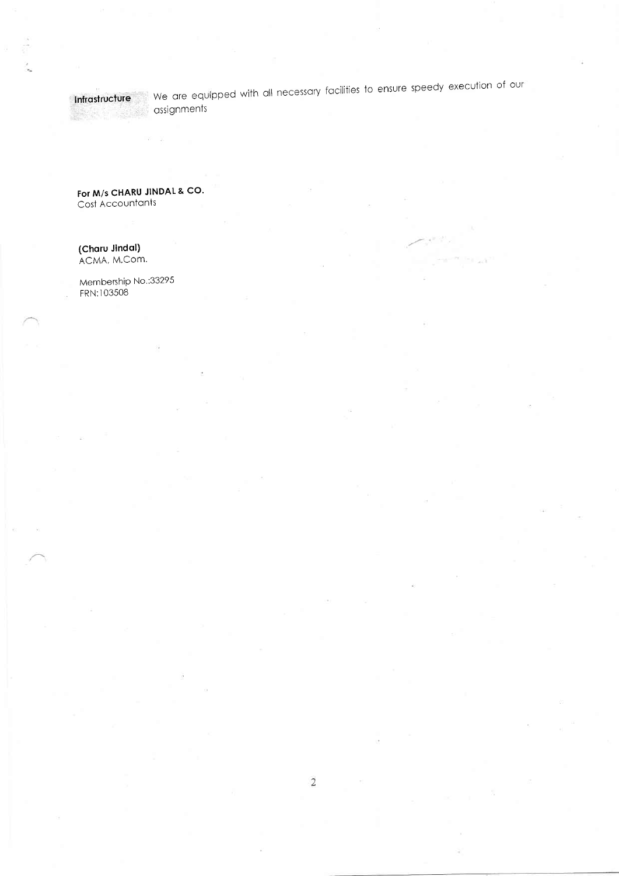# **Executive** Cassignments

Intrastructure We are equipped with all necessary facilities to ensure speedy execution of our

For M/s CHARU JINDAL & CO. Cost Accountants

# (Charu Jindal)<br>ACMA, M.Com.

Membership No.:33295 FRN:103508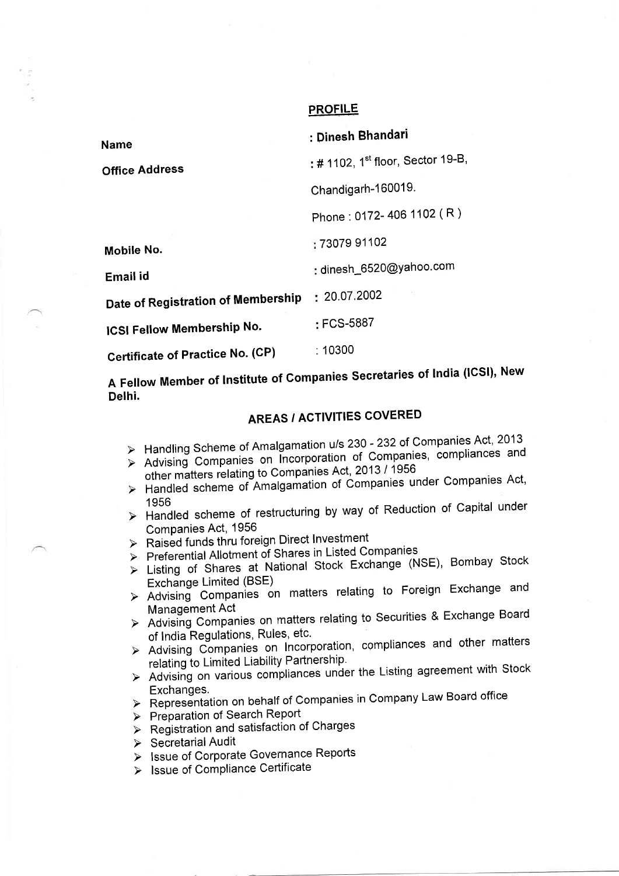### PROFILE

| Name                                    | : Dinesh Bhandari                             |
|-----------------------------------------|-----------------------------------------------|
| <b>Office Address</b>                   | : # 1102, 1 <sup>st</sup> floor, Sector 19-B, |
|                                         | Chandigarh-160019.                            |
|                                         | Phone: 0172-406 1102 (R)                      |
| Mobile No.                              | : 73079 91102                                 |
| Email id                                | : dinesh_6520@yahoo.com                       |
| Date of Registration of Membership      | : 20.07.2002                                  |
| <b>ICSI Fellow Membership No.</b>       | : FCS-5887                                    |
| <b>Certificate of Practice No. (CP)</b> | :10300                                        |

A Fellow Member of Institute of Companies Secretaries of India (ICSI), New Delhi.

# AREAS / ACTIVITIES COVERED

- > Handling Scheme of Amalgamation u/s 230 232 of Companies Act, 2013
- Advising Companies on Incorporation of Companies, compliances and<br>other matters relating to Companies Act, 2013 / 1956<br>> Handled scheme of Amalgamation of Companies under Companies Act,
- 
- 1956 > Handled scheme of restructuring by way of Reduction of Capital under
- Companies Act, 1956<br>> Raised funds thru foreign Direct Investment
- > Raised Idition Interface in Listed Companies
- > Listing of Shares at National Stock Exchange (NSE), Bombay Stock<br>Exchange Limited (BSE)<br>> Advising Companies on matters relating to Foreign Exchange and
- 
- Management Act<br>> Advising Companies on matters relating to Securities & Exchange Board
- of India Regulations, Rules, etc.<br>
> Advising Companies on Incorporation, compliances and other matters
- relating to Limited Liability Partnership.<br>> Advising on various compliances under the Listing agreement with Stock
- Exchanges.<br>
> Representation on behalf of Companies in Company Law Board office
- > Preparation of Search Report
- $\triangleright$  Registration and satisfaction of Charges
- $\triangleright$  Secretarial Audit
- > Issue of Corporate Governance Reports
- > Issue of Compliance Certificate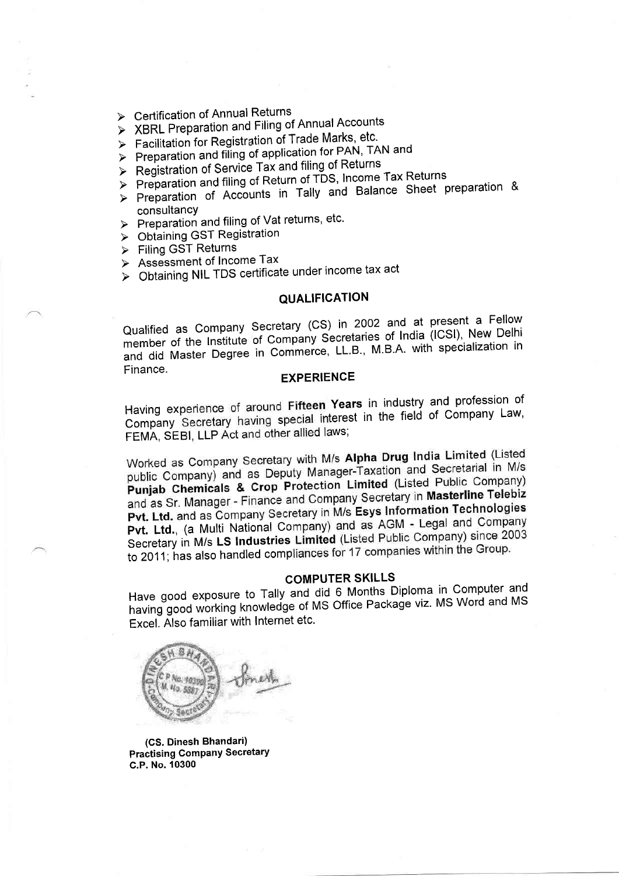- > Certification of Annual Returns
- > XBRL Preparation and Filing of Annual Accounts
- > Facilitation for Registration of Trade Marks, etc.
- > Preparation and filing of application for PAN, TAN and
- > Registration of Service Tax and filing of Returns
- > Preparation and filing of Return of TDS, Income Tax Returns
- > Preparation of Accounts in Tally and Balance Sheet preparation & consultancy
- > Preparation and filing of Vat returns, etc.
- > Obtaining GST Registration
- > Filing GST Returns
- > Assessment of Income Tax
- > Obtaining NIL TDS certificate under income tax act

### **QUALIFICATION**

Qualified as Company Secretary (CS) in 2002 and at present a Fellow member of the Institute of Company Secretaries of India (ICSI), New Delhi and did Master Degree in Commerce, LL.B., M.B.A. with specialization in Finance.

#### **EXPERIENCE**

Having experience of around Fifteen Years in industry and profession of Company Secretary having special interest in the field of Company Law, FEMA, SEBI, LLP Act and other allied laws;

Worked as Company Secretary with M/s Alpha Drug India Limited (Listed public Company) and as Deputy Manager-Taxation and Secretarial in M/s Punjab Chemicals & Crop Protection Limited (Listed Public Company) and as Sr. Manager - Finance and Company Secretary in Masterline Telebiz Pvt. Ltd. and as Company Secretary in M/s Esys Information Technologies Pvt. Ltd., (a Multi National Company) and as AGM - Legal and Company Secretary in M/s LS Industries Limited (Listed Public Company) since 2003 to 2011; has also handled compliances for 17 companies within the Group.

### **COMPUTER SKILLS**

Have good exposure to Tally and did 6 Months Diploma in Computer and having good working knowledge of MS Office Package viz. MS Word and MS Excel. Also familiar with Internet etc.



(CS. Dinesh Bhandari) **Practising Company Secretary** C.P. No. 10300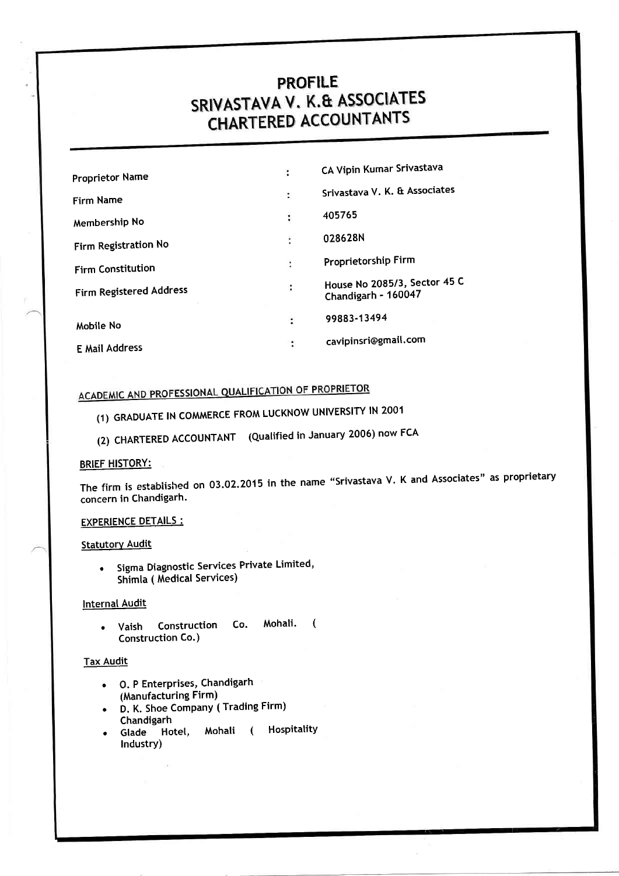# PROFILE<br>SRIVASTAVA V. K.& ASSOCIATES **CHARTERED ACCOUNTANTS**

| Srivastava V. K. & Associates |
|-------------------------------|
|                               |
|                               |
|                               |
| House No 2085/3, Sector 45 C  |
|                               |
|                               |
|                               |

# ACADEMIC AND PROFESSIONAL QUALIFICATION OF PROPRIETOR

- (1) GRADUATE lN COMMERCE FROM LUCKNOW UNIVERSITY lN 2001
- (2) CHARTERED ACCOUNTANT (Qualified in January 2006) now FCA

### BRIEF HISTORY:

The firm is established on 03.02.2015 in the name "Srivastava V. K and Associates" as proprietary concern in Chandigarh.

#### EXPERIENCE DETAILS :

### **Statutory Audit**

. Sigma Diagnostic Services Private Limited, Shimla ( Medical Services)

### Internal Audit

. Vaish Construction Co. Mohali. ( Construction Co.)

### **Tax Audit**

- O. P Enterprises, Chandigarh (Manufacturing Firm)
- D. K. Shoe Company ( Trading Firm) Chandigarh
- Glade Hotel, Mohali ( Hospitality Industry)